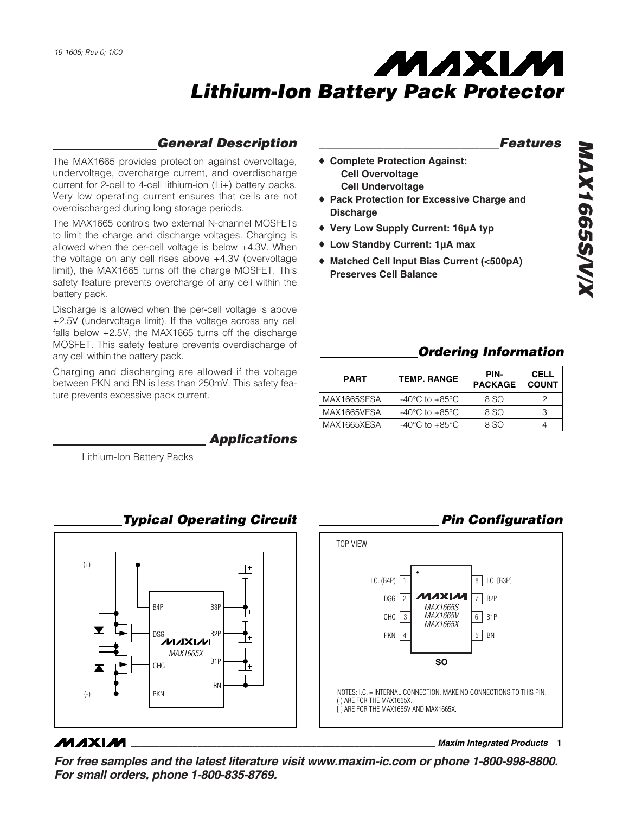### *General Description*

The MAX1665 provides protection against overvoltage, undervoltage, overcharge current, and overdischarge current for 2-cell to 4-cell lithium-ion (Li+) battery packs. Very low operating current ensures that cells are not overdischarged during long storage periods.

The MAX1665 controls two external N-channel MOSFETs to limit the charge and discharge voltages. Charging is allowed when the per-cell voltage is below +4.3V. When the voltage on any cell rises above +4.3V (overvoltage limit), the MAX1665 turns off the charge MOSFET. This safety feature prevents overcharge of any cell within the battery pack.

Discharge is allowed when the per-cell voltage is above +2.5V (undervoltage limit). If the voltage across any cell falls below +2.5V, the MAX1665 turns off the discharge MOSFET. This safety feature prevents overdischarge of any cell within the battery pack.

Charging and discharging are allowed if the voltage between PKN and BN is less than 250mV. This safety feature prevents excessive pack current.

*Applications*

Lithium-Ion Battery Packs



# *Typical Operating Circuit*

### **MAXIM**

**\_\_\_\_\_\_\_\_\_\_\_\_\_\_\_\_\_\_\_\_\_\_\_\_\_\_\_\_\_\_\_\_\_\_\_\_\_\_\_\_\_\_\_\_\_\_\_\_\_\_\_\_\_\_\_\_\_\_\_\_\_\_\_\_** *Maxim Integrated Products* **1**

*For free samples and the latest literature visit www.maxim-ic.com or phone 1-800-998-8800. For small orders, phone 1-800-835-8769.*

#### *\_\_\_\_\_\_\_\_\_\_\_\_\_\_\_\_\_\_\_\_\_\_\_\_\_\_\_\_Features*

- ♦ **Complete Protection Against: Cell Overvoltage Cell Undervoltage**
- ♦ **Pack Protection for Excessive Charge and Discharge**
- ♦ **Very Low Supply Current: 16µA typ**
- ♦ **Low Standby Current: 1µA max**
- ♦ **Matched Cell Input Bias Current (<500pA) Preserves Cell Balance**

### *Ordering Information*

| <b>PART</b> | <b>TEMP. RANGE</b>                 | PIN-<br><b>PACKAGE</b> | <b>CELL</b><br><b>COUNT</b> |
|-------------|------------------------------------|------------------------|-----------------------------|
| MAX1665SESA | $-40^{\circ}$ C to $+85^{\circ}$ C | 8 SO                   | 2                           |
| MAX1665VESA | $-40^{\circ}$ C to $+85^{\circ}$ C | 8 SO                   | З                           |
| MAX1665XESA | $-40^{\circ}$ C to $+85^{\circ}$ C | 8 SO                   |                             |

### *Pin Configuration*

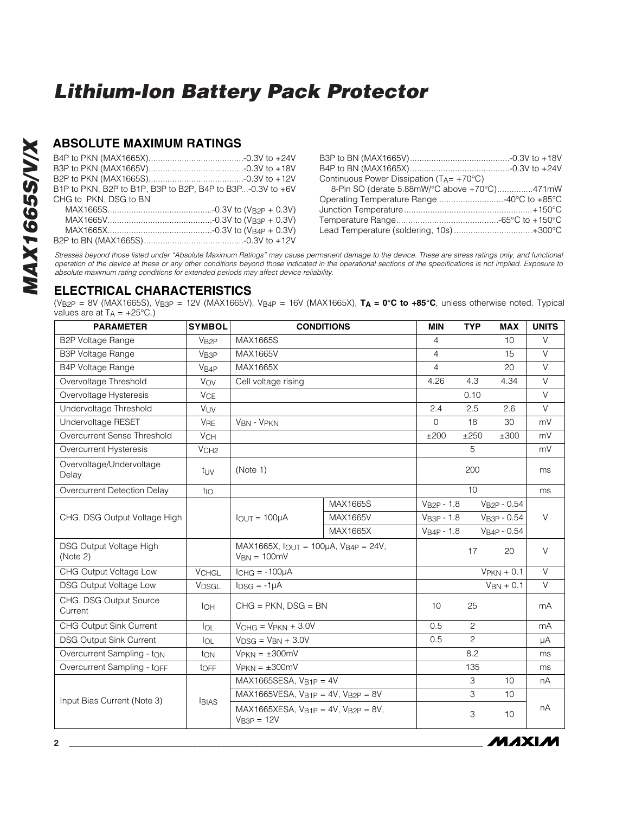### **ABSOLUTE MAXIMUM RATINGS**

| B1P to PKN, B2P to B1P, B3P to B2P, B4P to B3P-0.3V to +6V |
|------------------------------------------------------------|
|                                                            |
|                                                            |
|                                                            |
|                                                            |
|                                                            |

B2P to BN (MAX1665S)..........................................-0.3V to +12V

| Continuous Power Dissipation ( $T_A = +70^{\circ}C$ ) |  |
|-------------------------------------------------------|--|
| 8-Pin SO (derate 5.88mW/°C above +70°C)471mW          |  |
| Operating Temperature Range 40°C to +85°C             |  |
|                                                       |  |
|                                                       |  |
| Lead Temperature (soldering, 10s)+300°C               |  |

MAXIM

*Stresses beyond those listed under "Absolute Maximum Ratings" may cause permanent damage to the device. These are stress ratings only, and functional operation of the device at these or any other conditions beyond those indicated in the operational sections of the specifications is not implied. Exposure to absolute maximum rating conditions for extended periods may affect device reliability.*

#### **ELECTRICAL CHARACTERISTICS**

(V<sub>B2P</sub> = 8V (MAX1665S), V<sub>B3P</sub> = 12V (MAX1665V), V<sub>B4P</sub> = 16V (MAX1665X),  $T_A = 0$ °C to +85°C, unless otherwise noted. Typical values are at  $T_A = +25^{\circ}C$ .)

| <b>PARAMETER</b>                    | <b>SYMBOL</b>         | <b>CONDITIONS</b>                                            |          | <b>MIN</b>     | <b>TYP</b>     | <b>MAX</b>       | <b>UNITS</b> |
|-------------------------------------|-----------------------|--------------------------------------------------------------|----------|----------------|----------------|------------------|--------------|
| <b>B2P Voltage Range</b>            | V <sub>B2P</sub>      | MAX1665S                                                     |          | $\overline{4}$ |                | 10               | $\vee$       |
| <b>B3P Voltage Range</b>            | V <sub>B3P</sub>      | MAX1665V                                                     |          | $\overline{4}$ |                | 15               | $\vee$       |
| B4P Voltage Range                   | V <sub>B4P</sub>      | MAX1665X                                                     |          | $\overline{4}$ |                | 20               | V            |
| Overvoltage Threshold               | VOV                   | Cell voltage rising                                          |          | 4.26           | 4.3            | 4.34             | $\vee$       |
| Overvoltage Hysteresis              | <b>V<sub>CE</sub></b> |                                                              |          |                | 0.10           |                  | $\vee$       |
| Undervoltage Threshold              | VUV                   |                                                              |          | 2.4            | 2.5            | 2.6              | $\vee$       |
| Undervoltage RESET                  | <b>V<sub>RE</sub></b> | VBN - VPKN                                                   |          | $\mathbf 0$    | 18             | 30               | mV           |
| Overcurrent Sense Threshold         | <b>V<sub>CH</sub></b> |                                                              |          | ±200           | ±250           | ±300             | mV           |
| Overcurrent Hysteresis              | V <sub>CH2</sub>      |                                                              |          |                | 5              |                  | mV           |
| Overvoltage/Undervoltage<br>Delay   | $t_{\rm UV}$          | (Note 1)                                                     |          |                | 200            |                  | ms           |
| Overcurrent Detection Delay         | $t_{\text{IO}}$       |                                                              |          |                | 10             |                  | ms           |
|                                     |                       |                                                              | MAX1665S | $VB2P - 1.8$   |                | $V_{B2P} - 0.54$ |              |
| CHG, DSG Output Voltage High        |                       | $I$ OUT = 100 $\mu$ A                                        | MAX1665V | $VB3P - 1.8$   |                | VB3P - 0.54      | V            |
|                                     |                       |                                                              | MAX1665X | $VB4P - 1.8$   |                | $VB4P - 0.54$    |              |
| DSG Output Voltage High<br>(Note 2) |                       | $MAX1665X, IQUT = 100\mu A, VB4P = 24V,$<br>$V_{BN} = 100mV$ |          |                | 17             | 20               | $\vee$       |
| CHG Output Voltage Low              | <b>VCHGL</b>          | $ICHG = -100\mu A$                                           |          |                |                | $V$ PKN + 0.1    | $\vee$       |
| <b>DSG Output Voltage Low</b>       | V <sub>DSGL</sub>     | $I_{DSG} = -1\mu A$                                          |          |                |                | $V_{BN} + 0.1$   | $\vee$       |
| CHG, DSG Output Source<br>Current   | <b>I</b> OH           | $CHG = PKN$ , $DSG = BN$                                     |          | 10             | 25             |                  | mA           |
| <b>CHG Output Sink Current</b>      | $I_{OL}$              | $VCHG = VPKN + 3.0V$                                         |          | 0.5            | 2              |                  | mA           |
| <b>DSG Output Sink Current</b>      | $I_{OL}$              | $V_{DSG}$ = $V_{BN}$ + 3.0V                                  |          | 0.5            | $\overline{c}$ |                  | μA           |
| Overcurrent Sampling - ton          | ton                   | $V$ PKN = $\pm 300$ mV                                       |          |                | 8.2            |                  | ms           |
| Overcurrent Sampling - toFF         | tOFF                  | $V$ PKN = $\pm 300$ mV                                       |          |                | 135            |                  | ms           |
|                                     |                       | MAX1665SESA, $V_{\text{B1P}} = 4V$                           |          |                | 3              | 10               | nA           |
| Input Bias Current (Note 3)         | <b>BIAS</b>           | $MAX1665VESA, V_{B1P} = 4V, V_{B2P} = 8V$                    |          |                | 3              | 10               |              |
|                                     |                       | $MAX1665XESA, V_{B1P} = 4V, V_{B2P} = 8V,$<br>$VB3P = 12V$   |          |                | 3              | 10               | nA           |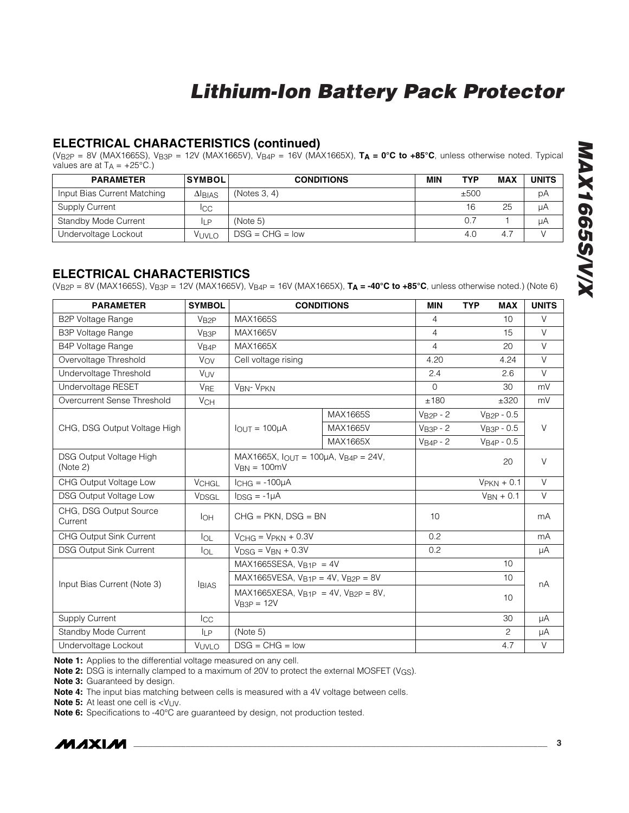### **ELECTRICAL CHARACTERISTICS (continued)**

(VB2P = 8V (MAX1665S), VB3P = 12V (MAX1665V), VB4P = 16V (MAX1665X), **TA = 0°C to +85°C**, unless otherwise noted. Typical values are at  $T_A = +25^{\circ}C$ .)

| <b>PARAMETER</b>            | <b>SYMBOL</b> | <b>CONDITIONS</b> | MIN | TYP  | MAX | <b>UNITS</b> |
|-----------------------------|---------------|-------------------|-----|------|-----|--------------|
| Input Bias Current Matching | $\Delta$ BIAS | (Notes 3, 4)      |     | ±500 |     | рA           |
| Supply Current              | Icc           |                   |     | 16   | 25  | μA           |
| Standby Mode Current        | <b>ILP</b>    | (Note 5)          |     | 0.7  |     | uA           |
| Undervoltage Lockout        | Vuvlo         | $DSG = CHG = low$ |     | 4.0  | 4.7 |              |

#### **ELECTRICAL CHARACTERISTICS**

(VB2P = 8V (MAX1665S), VB3P = 12V (MAX1665V), VB4P = 16V (MAX1665X), **TA = -40°C to +85°C**, unless otherwise noted.) (Note 6)

| <b>PARAMETER</b>                    | <b>SYMBOL</b>         |                                                                        | <b>CONDITIONS</b> | <b>MIN</b>     | <b>TYP</b><br><b>MAX</b> | <b>UNITS</b> |  |
|-------------------------------------|-----------------------|------------------------------------------------------------------------|-------------------|----------------|--------------------------|--------------|--|
| <b>B2P Voltage Range</b>            | V <sub>B2P</sub>      | MAX1665S                                                               |                   | 4              | 10                       | $\vee$       |  |
| <b>B3P Voltage Range</b>            | V <sub>B3P</sub>      | MAX1665V                                                               |                   | 4              | 15                       | $\vee$       |  |
| <b>B4P Voltage Range</b>            | V <sub>B4P</sub>      | MAX1665X                                                               |                   | $\overline{4}$ | 20                       | $\vee$       |  |
| Overvoltage Threshold               | VOV                   | Cell voltage rising                                                    |                   | 4.20           | 4.24                     | V            |  |
| Undervoltage Threshold              | <b>VUV</b>            |                                                                        |                   | 2.4            | 2.6                      | $\vee$       |  |
| Undervoltage RESET                  | <b>V<sub>RE</sub></b> | <b>VBN- VPKN</b>                                                       |                   | $\Omega$       | 30                       | mV           |  |
| Overcurrent Sense Threshold         | <b>V<sub>CH</sub></b> |                                                                        |                   | ±180           | ±320                     | mV           |  |
|                                     |                       |                                                                        | MAX1665S          | $VB2P - 2$     | $VB2P - 0.5$             |              |  |
| CHG, DSG Output Voltage High        |                       | $IQUT = 100\muA$                                                       | MAX1665V          | $VB3P - 2$     | $VB3P - 0.5$             | $\vee$       |  |
|                                     |                       |                                                                        | MAX1665X          | $VB4P - 2$     | $VB4P - 0.5$             |              |  |
| DSG Output Voltage High<br>(Note 2) |                       | MAX1665X, $I_{OUT} = 100\mu A$ , $V_{B4P} = 24V$ ,<br>$V_{BN} = 100mV$ |                   |                | 20                       | $\vee$       |  |
| CHG Output Voltage Low              | <b>VCHGL</b>          | $ICHG = -100\mu A$                                                     |                   |                | $V$ PKN + 0.1            | $\vee$       |  |
| <b>DSG Output Voltage Low</b>       | V <sub>DSGL</sub>     | $I_{DSG} = -1\mu A$                                                    |                   |                | $V_{BN} + 0.1$           | V            |  |
| CHG, DSG Output Source<br>Current   | <b>I</b> OH           | $CHG = PKN$ , $DSG = BN$                                               |                   | 10             |                          | mA           |  |
| CHG Output Sink Current             | $I_{OL}$              | $VCHG = VPKN + 0.3V$                                                   |                   | 0.2            |                          | mA           |  |
| <b>DSG Output Sink Current</b>      | $I_{OL}$              | $V_{DSG} = V_{BN} + 0.3V$                                              |                   | 0.2            |                          | μA           |  |
|                                     |                       | $MAX1665SESA, V_{B1P} = 4V$                                            |                   |                | 10                       |              |  |
| Input Bias Current (Note 3)         |                       | $MAX1665VESA, V_{B1P} = 4V, V_{B2P} = 8V$                              |                   |                | 10                       | nA           |  |
|                                     | <b>BIAS</b>           | $MAX1665XESA, V_{B1P} = 4V, V_{B2P} = 8V,$<br>$VB3P = 12V$             |                   |                | 10                       |              |  |
| <b>Supply Current</b>               | <b>I</b> CC           |                                                                        |                   |                | 30                       | μA           |  |
| Standby Mode Current                | <b>ILP</b>            | (Note 5)                                                               |                   |                | 2                        | μA           |  |
| Undervoltage Lockout                | VUVLO                 | $DSG = CHG = low$                                                      |                   |                | 4.7                      | V            |  |

**Note 1:** Applies to the differential voltage measured on any cell.

**Note 2:** DSG is internally clamped to a maximum of 20V to protect the external MOSFET (V<sub>GS</sub>).

**Note 3:** Guaranteed by design.

**Note 4:** The input bias matching between cells is measured with a 4V voltage between cells.

**Note 5:** At least one cell is <V<sub>UV</sub>.

**Note 6:** Specifications to -40°C are guaranteed by design, not production tested.

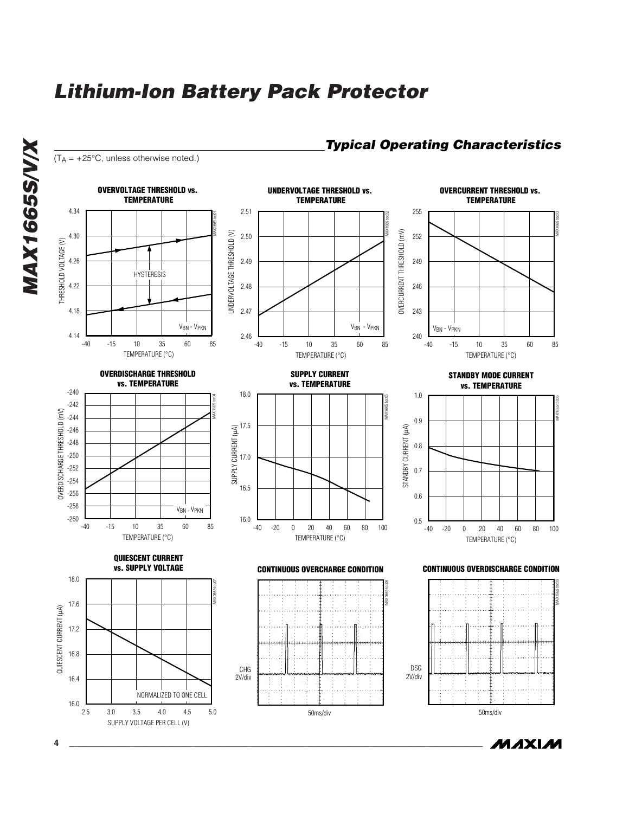

MAXIM

*MAX1665S/V/X*

**MAX1665S/V/X**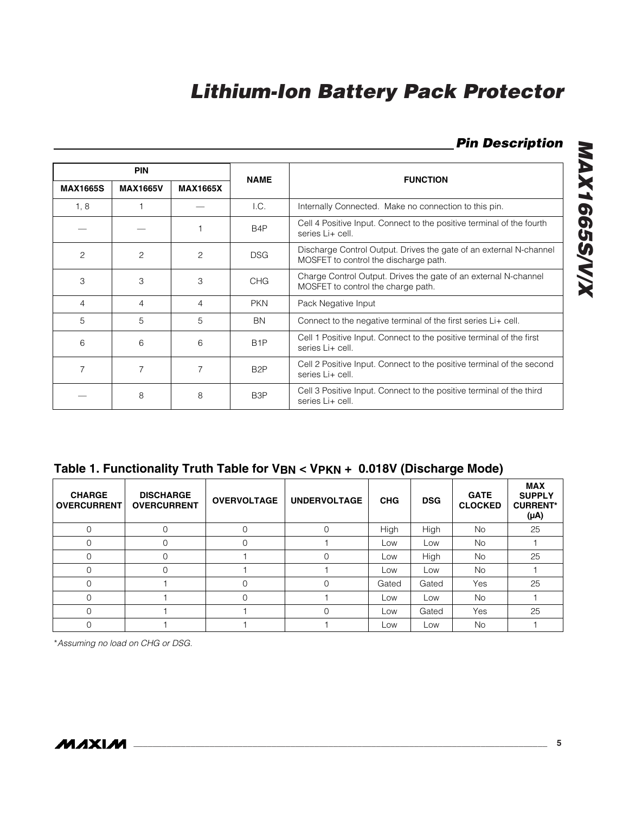### *Pin Description*

| <b>PIN</b>      |                 |                 |                  | <b>FUNCTION</b>                                                                                             |
|-----------------|-----------------|-----------------|------------------|-------------------------------------------------------------------------------------------------------------|
| <b>MAX1665S</b> | <b>MAX1665V</b> | <b>MAX1665X</b> | <b>NAME</b>      |                                                                                                             |
| 1, 8            |                 |                 | 1.C.             | Internally Connected. Make no connection to this pin.                                                       |
|                 |                 |                 | B <sub>4</sub> P | Cell 4 Positive Input. Connect to the positive terminal of the fourth<br>series Li+ cell.                   |
| $\overline{c}$  | 2               | $\overline{c}$  | <b>DSG</b>       | Discharge Control Output. Drives the gate of an external N-channel<br>MOSFET to control the discharge path. |
| 3               | 3               | 3               | <b>CHG</b>       | Charge Control Output. Drives the gate of an external N-channel<br>MOSFET to control the charge path.       |
| 4               | 4               | 4               | <b>PKN</b>       | Pack Negative Input                                                                                         |
| 5               | 5               | 5               | <b>BN</b>        | Connect to the negative terminal of the first series Li+ cell.                                              |
| 6               | 6               | 6               | B <sub>1</sub> P | Cell 1 Positive Input. Connect to the positive terminal of the first<br>series Li+ cell.                    |
| 7               |                 | 7               | B <sub>2</sub> P | Cell 2 Positive Input. Connect to the positive terminal of the second<br>series Li+ cell.                   |
|                 | 8               | 8               | B <sub>3</sub> P | Cell 3 Positive Input. Connect to the positive terminal of the third<br>series Li+ cell.                    |

**Table 1. Functionality Truth Table for VBN < VPKN + 0.018V (Discharge Mode)**

| <b>CHARGE</b><br><b>OVERCURRENT</b> | <b>DISCHARGE</b><br><b>OVERCURRENT</b> | <b>OVERVOLTAGE</b> | <b>UNDERVOLTAGE</b> | <b>CHG</b> | <b>DSG</b> | <b>GATE</b><br><b>CLOCKED</b> | <b>MAX</b><br><b>SUPPLY</b><br><b>CURRENT*</b><br>$(\mu A)$ |
|-------------------------------------|----------------------------------------|--------------------|---------------------|------------|------------|-------------------------------|-------------------------------------------------------------|
|                                     | 0                                      |                    | 0                   | High       | High       | <b>No</b>                     | 25                                                          |
|                                     | 0                                      |                    |                     | Low        | Low        | <b>No</b>                     |                                                             |
| $\Omega$                            | $\Omega$                               |                    | 0                   | Low        | High       | <b>No</b>                     | 25                                                          |
|                                     | 0                                      |                    |                     | Low        | Low        | <b>No</b>                     |                                                             |
|                                     |                                        | Ω                  | Ω                   | Gated      | Gated      | Yes                           | 25                                                          |
| $\Omega$                            |                                        |                    |                     | Low        | Low        | <b>No</b>                     |                                                             |
|                                     |                                        |                    | 0                   | Low        | Gated      | Yes                           | 25                                                          |
|                                     |                                        |                    |                     | Low        | Low        | <b>No</b>                     |                                                             |

\**Assuming no load on CHG or DSG.*

MAX1665S/V/X *MAX1665S/V/X*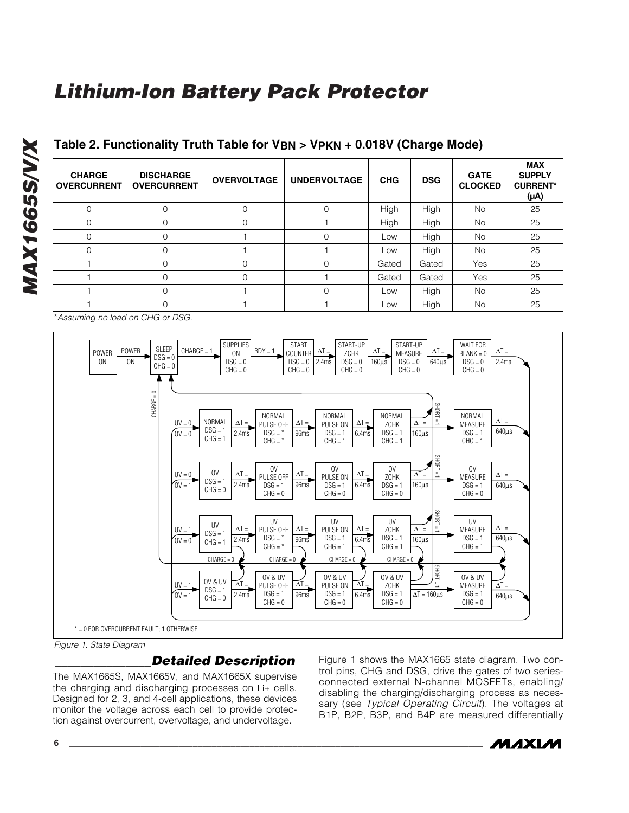| <b>CHARGE</b><br><b>OVERCURRENT</b> | <b>DISCHARGE</b><br><b>OVERCURRENT</b> | <b>OVERVOLTAGE</b> | <b>UNDERVOLTAGE</b> | <b>CHG</b> | <b>DSG</b> | <b>GATE</b><br><b>CLOCKED</b> | <b>MAX</b><br><b>SUPPLY</b><br><b>CURRENT*</b><br>$(\mu A)$ |
|-------------------------------------|----------------------------------------|--------------------|---------------------|------------|------------|-------------------------------|-------------------------------------------------------------|
| $\Omega$                            |                                        | 0                  | $\mathbf 0$         | High       | High       | <b>No</b>                     | 25                                                          |
| $\Omega$                            | $\Omega$                               | $\Omega$           |                     | High       | High       | <b>No</b>                     | 25                                                          |
| $\Omega$                            |                                        |                    | 0                   | Low        | High       | <b>No</b>                     | 25                                                          |
| $\Omega$                            |                                        |                    |                     | Low        | High       | <b>No</b>                     | 25                                                          |
|                                     |                                        | 0                  | 0                   | Gated      | Gated      | Yes                           | 25                                                          |
|                                     | $\Omega$                               | $\Omega$           |                     | Gated      | Gated      | Yes                           | 25                                                          |
|                                     |                                        |                    | $\Omega$            | Low        | High       | <b>No</b>                     | 25                                                          |
|                                     |                                        |                    |                     | Low        | High       | No                            | 25                                                          |

#### **Table 2. Functionality Truth Table for VBN > VPKN + 0.018V (Charge Mode)**

\**Assuming no load on CHG or DSG.*

*MAX1665S/V/X*

**MAX1665S/V/X** 



*Figure 1. State Diagram*

#### *\_\_\_\_\_\_\_\_\_\_\_\_\_\_\_Detailed Description*

The MAX1665S, MAX1665V, and MAX1665X supervise the charging and discharging processes on Li+ cells. Designed for 2, 3, and 4-cell applications, these devices monitor the voltage across each cell to provide protection against overcurrent, overvoltage, and undervoltage.

Figure 1 shows the MAX1665 state diagram. Two control pins, CHG and DSG, drive the gates of two seriesconnected external N-channel MOSFETs, enabling/ disabling the charging/discharging process as necessary (see *Typical Operating Circuit*). The voltages at B1P, B2P, B3P, and B4P are measured differentially

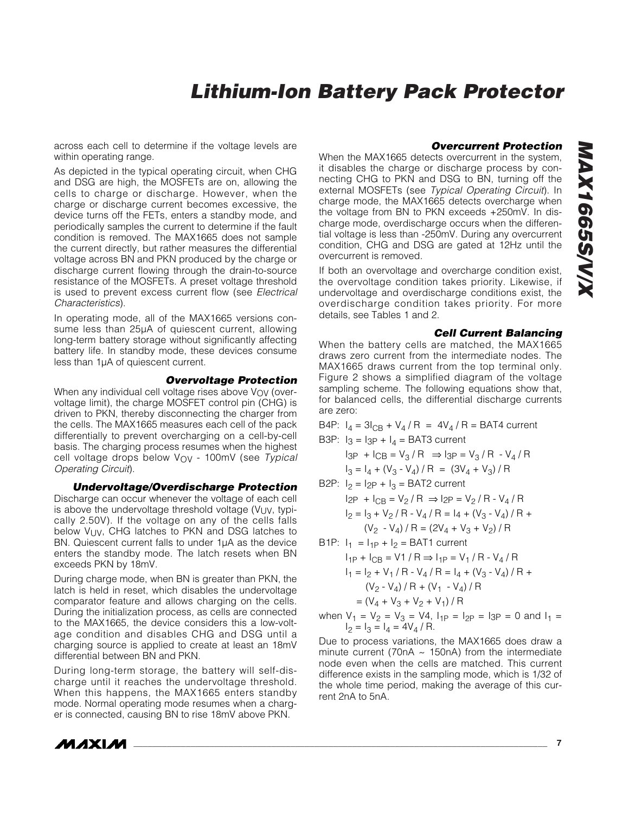across each cell to determine if the voltage levels are within operating range.

As depicted in the typical operating circuit, when CHG and DSG are high, the MOSFETs are on, allowing the cells to charge or discharge. However, when the charge or discharge current becomes excessive, the device turns off the FETs, enters a standby mode, and periodically samples the current to determine if the fault condition is removed. The MAX1665 does not sample the current directly, but rather measures the differential voltage across BN and PKN produced by the charge or discharge current flowing through the drain-to-source resistance of the MOSFETs. A preset voltage threshold is used to prevent excess current flow (see *Electrical Characteristics*).

In operating mode, all of the MAX1665 versions consume less than 25µA of quiescent current, allowing long-term battery storage without significantly affecting battery life. In standby mode, these devices consume less than 1µA of quiescent current.

#### *Overvoltage Protection*

When any individual cell voltage rises above  $V_{\Omega V}$  (overvoltage limit), the charge MOSFET control pin (CHG) is driven to PKN, thereby disconnecting the charger from the cells. The MAX1665 measures each cell of the pack differentially to prevent overcharging on a cell-by-cell basis. The charging process resumes when the highest cell voltage drops below VOV - 100mV (see *Typical Operating Circuit*).

*Undervoltage/Overdischarge Protection* Discharge can occur whenever the voltage of each cell is above the undervoltage threshold voltage  $(V_{UV}, V_{IV})$ cally 2.50V). If the voltage on any of the cells falls below VUV, CHG latches to PKN and DSG latches to BN. Quiescent current falls to under 1µA as the device enters the standby mode. The latch resets when BN exceeds PKN by 18mV.

During charge mode, when BN is greater than PKN, the latch is held in reset, which disables the undervoltage comparator feature and allows charging on the cells. During the initialization process, as cells are connected to the MAX1665, the device considers this a low-voltage condition and disables CHG and DSG until a charging source is applied to create at least an 18mV differential between BN and PKN.

During long-term storage, the battery will self-discharge until it reaches the undervoltage threshold. When this happens, the MAX1665 enters standby mode. Normal operating mode resumes when a charger is connected, causing BN to rise 18mV above PKN.



*MAX1665S/V/X*

**MAX1665S/V/X** 

When the MAX1665 detects overcurrent in the system, it disables the charge or discharge process by connecting CHG to PKN and DSG to BN, turning off the external MOSFETs (see *Typical Operating Circuit*). In charge mode, the MAX1665 detects overcharge when the voltage from BN to PKN exceeds +250mV. In discharge mode, overdischarge occurs when the differential voltage is less than -250mV. During any overcurrent condition, CHG and DSG are gated at 12Hz until the overcurrent is removed.

If both an overvoltage and overcharge condition exist, the overvoltage condition takes priority. Likewise, if undervoltage and overdischarge conditions exist, the overdischarge condition takes priority. For more details, see Tables 1 and 2.

#### *Cell Current Balancing*

When the battery cells are matched, the MAX1665 draws zero current from the intermediate nodes. The MAX1665 draws current from the top terminal only. Figure 2 shows a simplified diagram of the voltage sampling scheme. The following equations show that, for balanced cells, the differential discharge currents are zero:

B4P:  $I_4 = 3I_{CB} + V_4 / R = 4V_4 / R = BAT4$  current B3P:  $I_3 = I_{3P} + I_4 = BAT3$  current

$$
I_{3P} + I_{CB} = V_3 / R \Rightarrow I_{3P} = V_3 / R - V_4 / R
$$

 $I_3 = I_4 + (V_3 - V_4)/R = (3V_4 + V_3)/R$ 

B2P: 
$$
I_2 = I_{2P} + I_3 =
$$
 BAT2 current  
\n $I_{2P} + I_{CB} = V_2 / R \Rightarrow I_{2P} = V_2 / R - V_4 / R$   
\n $I_2 = I_3 + V_2 / R - V_4 / R = I_4 + (V_3 - V_4) / R + (V_2 - V_4) / R = (2V_4 + V_3 + V_2) / R$ 

- B1P:  $I_1 = I_{1P} + I_2 = BAT1$  current  $I_{1P}$  +  $I_{CB}$  = V1 / R  $\Rightarrow$   $I_{1P}$  = V<sub>1</sub> / R - V<sub>4</sub> / R  $I_1 = I_2 + V_1 / R - V_4 / R = I_4 + (V_3 - V_4) / R +$  $(V_2 - V_4) / R + (V_1 - V_4) / R$  $= (V_4 + V_3 + V_2 + V_1) / R$
- when  $V_1 = V_2 = V_3 = V_4$ ,  $I_{1P} = I_{2P} = I_{3P} = 0$  and  $I_1 =$  $I_2 = I_3 = I_4 = 4V_4 / R$ .

Due to process variations, the MAX1665 does draw a minute current (70nA  $\sim$  150nA) from the intermediate node even when the cells are matched. This current difference exists in the sampling mode, which is 1/32 of the whole time period, making the average of this current 2nA to 5nA.

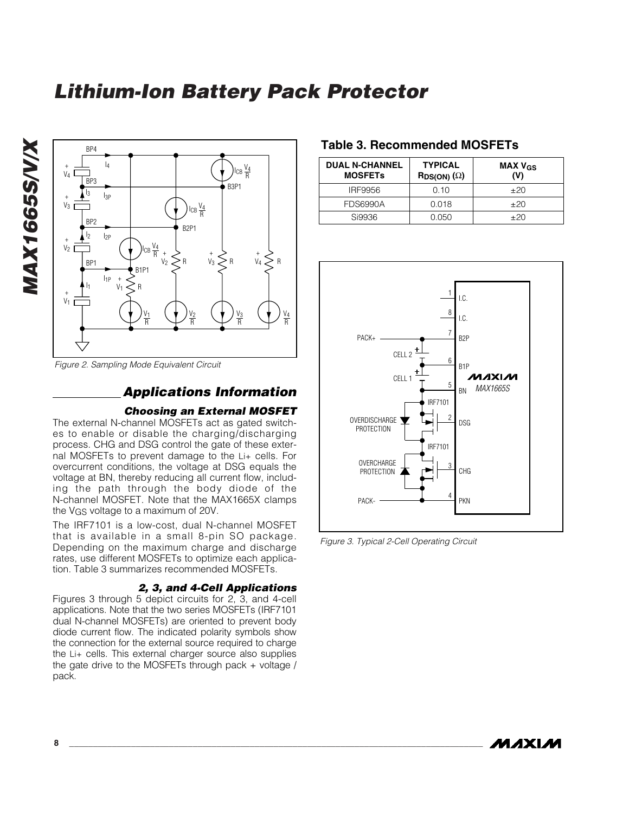



*Figure 2. Sampling Mode Equivalent Circuit*

#### *Applications Information*

#### *Choosing an External MOSFET*

The external N-channel MOSFETs act as gated switches to enable or disable the charging/discharging process. CHG and DSG control the gate of these external MOSFETs to prevent damage to the Li+ cells. For overcurrent conditions, the voltage at DSG equals the voltage at BN, thereby reducing all current flow, including the path through the body diode of the N-channel MOSFET. Note that the MAX1665X clamps the VGS voltage to a maximum of 20V.

The IRF7101 is a low-cost, dual N-channel MOSFET that is available in a small 8-pin SO package. Depending on the maximum charge and discharge rates, use different MOSFETs to optimize each application. Table 3 summarizes recommended MOSFETs.

#### *2, 3, and 4-Cell Applications*

Figures 3 through 5 depict circuits for 2, 3, and 4-cell applications. Note that the two series MOSFETs (IRF7101 dual N-channel MOSFETs) are oriented to prevent body diode current flow. The indicated polarity symbols show the connection for the external source required to charge the Li+ cells. This external charger source also supplies the gate drive to the MOSFETs through pack + voltage / pack.

#### **Table 3. Recommended MOSFETs**

| <b>DUAL N-CHANNEL</b><br><b>MOSFETs</b> | <b>TYPICAL</b><br>$\mathsf{RDS}(\mathsf{ON})$ ( $\Omega$ ) | MAX $V_{GS}$<br>(V) |
|-----------------------------------------|------------------------------------------------------------|---------------------|
| IRF9956                                 | 0.10                                                       | $+20$               |
| <b>FDS6990A</b>                         | 0.018                                                      | $+20$               |
| Si9936                                  | 0.050                                                      | $+20$               |



*Figure 3. Typical 2-Cell Operating Circuit*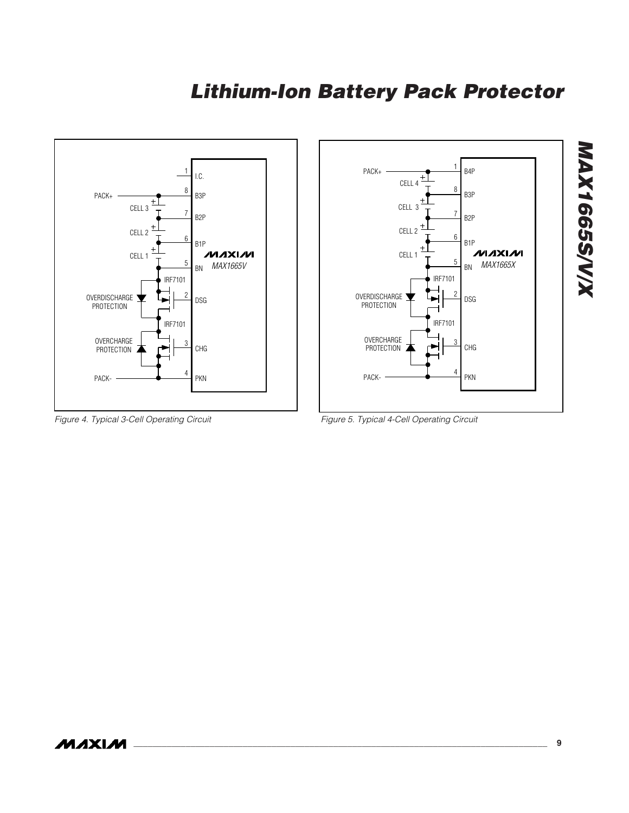

*Figure 4. Typical 3-Cell Operating Circuit*



*Figure 5. Typical 4-Cell Operating Circuit*

#### MAXIM

*MAX1665S/V/X*

**MAX1665S/V/X**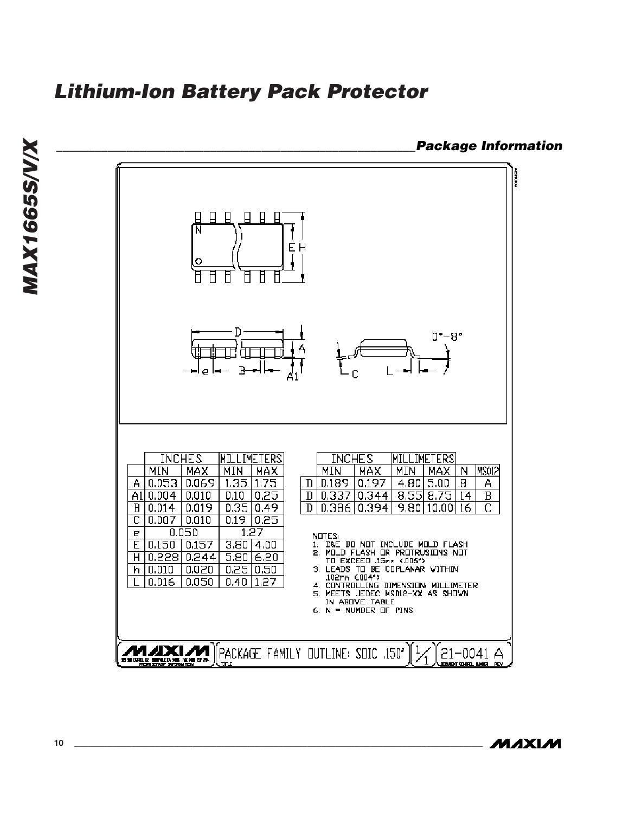**Lithium-Ion Battery Pack Protector** 



MAXIM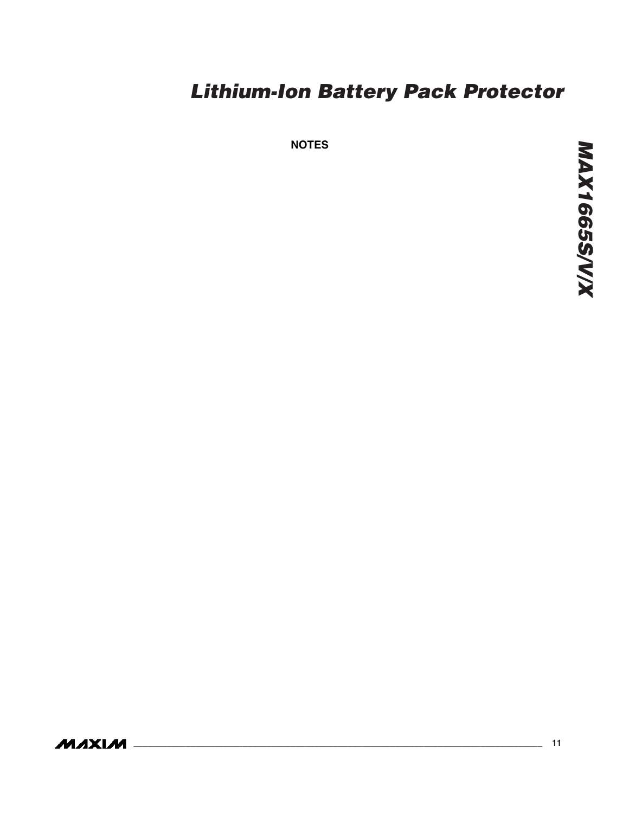**NOTES**

**MAXIM**